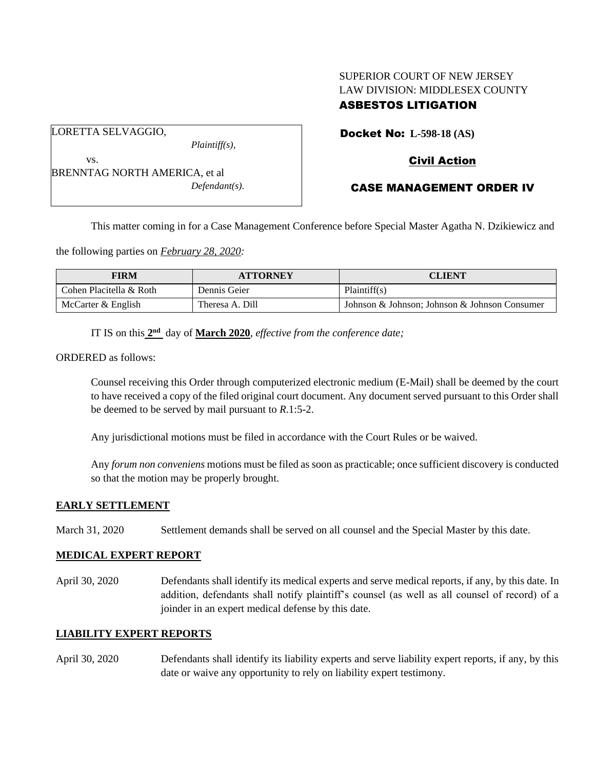# SUPERIOR COURT OF NEW JERSEY LAW DIVISION: MIDDLESEX COUNTY ASBESTOS LITIGATION

Docket No: **L-598-18 (AS)** 

## Civil Action

| .                             |                  |
|-------------------------------|------------------|
| BRENNTAG NORTH AMERICA, et al |                  |
|                               | $Defendant(s)$ . |

*Plaintiff(s),*

CASE MANAGEMENT ORDER IV

This matter coming in for a Case Management Conference before Special Master Agatha N. Dzikiewicz and

the following parties on *February 28, 2020:*

| <b>FIRM</b>             | <b>ATTORNEY</b> | <b>CLIENT</b>                                 |
|-------------------------|-----------------|-----------------------------------------------|
| Cohen Placitella & Roth | Dennis Geier    | Plaintiff(s)                                  |
| McCarter & English      | Theresa A. Dill | Johnson & Johnson; Johnson & Johnson Consumer |

IT IS on this  $2<sup>nd</sup>$  day of **March 2020**, *effective from the conference date*;

ORDERED as follows:

LORETTA SELVAGGIO,

ve

Counsel receiving this Order through computerized electronic medium (E-Mail) shall be deemed by the court to have received a copy of the filed original court document. Any document served pursuant to this Order shall be deemed to be served by mail pursuant to *R*.1:5-2.

Any jurisdictional motions must be filed in accordance with the Court Rules or be waived.

Any *forum non conveniens* motions must be filed as soon as practicable; once sufficient discovery is conducted so that the motion may be properly brought.

#### **EARLY SETTLEMENT**

March 31, 2020 Settlement demands shall be served on all counsel and the Special Master by this date.

#### **MEDICAL EXPERT REPORT**

April 30, 2020 Defendants shall identify its medical experts and serve medical reports, if any, by this date. In addition, defendants shall notify plaintiff's counsel (as well as all counsel of record) of a joinder in an expert medical defense by this date.

#### **LIABILITY EXPERT REPORTS**

April 30, 2020 Defendants shall identify its liability experts and serve liability expert reports, if any, by this date or waive any opportunity to rely on liability expert testimony.